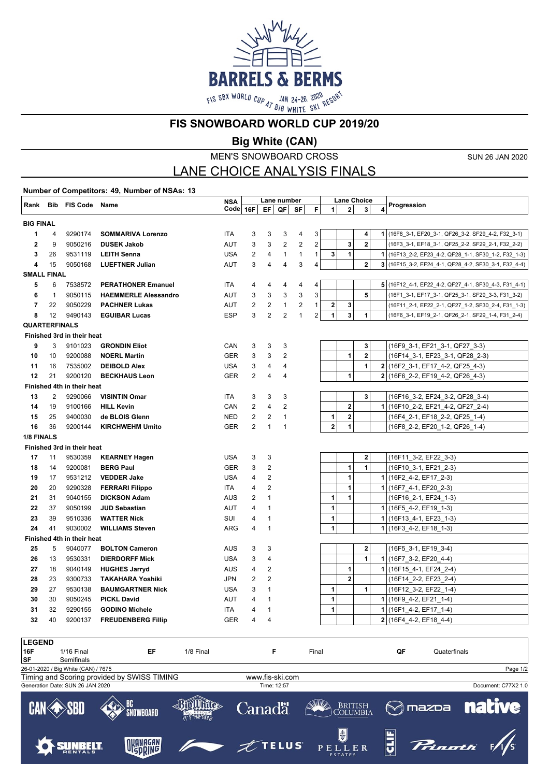

**FIS SNOWBOARD WORLD CUP 2019/20**

**Big White (CAN)**

MEN'S SNOWBOARD CROSS

SUN 26 JAN 2020

# LANE CHOICE ANALYSIS FINALS

**Number of Competitors: 49, Number of NSAs: 13 Rank Bib FIS Code Name NSA Code 16F Code**  $\begin{array}{|c|c|c|c|c|}\n\hline\n\text{RMA} & \text{Lane Choice} \\
\hline\n\text{Code} & 16\text{F} & \text{EF} & \text{QF} & \text{SF} & \text{F} & 1 & 2 & 3 & 4 \\
\hline\n\end{array}$ **Lane Choice BIG FINAL** 4 9290174 **SOMMARIVA Lorenzo** ITA 3 3 3 4 3 **4 1** (16F8\_3-1, EF20\_3-1, QF26\_3-2, SF29\_4-2, F32\_3-1) 9 9050216 **DUSEK Jakob** AUT 3 3 2 2 2 **3 2** (16F3\_3-1, EF18\_3-1, QF25\_2-2, SF29\_2-1, F32\_2-2) 26 9531119 **LEITH Senna** USA 2 4 1 1 1 **3 1 1** (16F13\_2-2, EF23\_4-2, QF28\_1-1, SF30\_1-2, F32\_1-3) 15 9050168 **LUEFTNER Julian** AUT 3 4 4 3 4 **2 3** (16F15\_3-2, EF24\_4-1, QF28\_4-2, SF30\_3-1, F32\_4-4) **SMALL FINAL** 6 7538572 **PERATHONER Emanuel** ITA 4 4 4 4 4 **5** (16F12\_4-1, EF22\_4-2, QF27\_4-1, SF30\_4-3, F31\_4-1) 1 9050115 **HAEMMERLE Alessandro** AUT 3 3 3 3 3 **5** (16F1\_3-1, EF17\_3-1, QF25\_3-1, SF29\_3-3, F31\_3-2) 22 9050229 **PACHNER Lukas** AUT 2 2 1 2 1 **2 3** (16F11\_2-1, EF22\_2-1, QF27\_1-2, SF30\_2-4, F31\_1-3) 12 9490143 **EGUIBAR Lucas** ESP 3 2 2 1 2 **1 3 1** (16F6\_3-1, EF19\_2-1, QF26\_2-1, SF29\_1-4, F31\_2-4) **QUARTERFINALS Finished 3rd in their heat** 3 9101023 **GRONDIN Eliot** CAN 3 3 3 **3** (16F9\_3-1, EF21\_3-1, QF27\_3-3) 10 9200088 **NOERL Martin** GER 3 3 2 **1 2** (16F14\_3-1, EF23\_3-1, QF28\_2-3) 16 7535002 **DEIBOLD Alex** USA 3 4 4 **1 2** (16F2\_3-1, EF17\_4-2, QF25\_4-3) 21 9200120 **BECKHAUS Leon** GER 2 4 4 **1 2** (16F6\_2-2, EF19\_4-2, QF26\_4-3) **Finished 4th in their heat** 2 9290066 **VISINTIN Omar** ITA 3 3 3 **3** (16F16\_3-2, EF24\_3-2, QF28\_3-4) 19 9100166 **HILL Kevin** CAN 2 4 2 **2 1** (16F10\_2-2, EF21\_4-2, QF27\_2-4) 25 9400030 **de BLOIS Glenn** NED 2 2 1 **1 2** (16F4\_2-1, EF18\_2-2, QF25\_1-4) 36 9200144 **KIRCHWEHM Umito** GER 2 1 1 **2 1** (16F8\_2-2, EF20\_1-2, QF26\_1-4) **1/8 FINALS Finished 3rd in their heat** 11 9530359 **KEARNEY Hagen** USA 3 3 **2** (16F11\_3-2, EF22\_3-3) 14 9200081 **BERG Paul** GER 3 2 **1 1** (16F10\_3-1, EF21\_2-3) 17 9531212 **VEDDER Jake** USA 4 2 **1 1** (16F2\_4-2, EF17\_2-3) 20 9290328 **FERRARI Filippo** ITA 4 2 **1 1** (16F7\_4-1, EF20\_2-3) 31 9040155 **DICKSON Adam** AUS 2 1 **1 1** (16F16\_2-1, EF24\_1-3) 37 9050199 **JUD Sebastian** AUT 4 1 **1 1** (16F5\_4-2, EF19\_1-3) 39 9510336 **WATTER Nick** SUI 4 1 **1 1** (16F13\_4-1, EF23\_1-3) 41 9030002 **WILLIAMS Steven** ARG 4 1 **1 1** (16F3\_4-2, EF18\_1-3) **Finished 4th in their heat** 5 9040077 **BOLTON Cameron** AUS 3 3 **2** (16F5\_3-1, EF19\_3-4) 13 9530331 **DIERDORFF Mick** USA 3 4 **1 1** (16F7\_3-2, EF20\_4-4) 18 9040149 **HUGHES Jarryd** AUS 4 2 **1 1** (16F15\_4-1, EF24\_2-4) 23 9300733 **TAKAHARA Yoshiki** JPN 2 2 **2** (16F14\_2-2, EF23\_2-4) 27 9530138 **BAUMGARTNER Nick** USA 3 1 **1 1** (16F12\_3-2, EF22\_1-4) 30 9050245 **PICKL David** AUT 4 1 **1 1** (16F9\_4-2, EF21\_1-4) 32 9290155 **GODINO Michele** ITA 4 1 **1 1** (16F1\_4-2, EF17\_1-4) 40 9200137 **FREUDENBERG Fillip** GER 4 4 **2** (16F4\_4-2, EF18\_4-4)

| <b>LEGEND</b>                                                  |                                  |              |               |             |                                        |    |                 |                     |
|----------------------------------------------------------------|----------------------------------|--------------|---------------|-------------|----------------------------------------|----|-----------------|---------------------|
| 16F                                                            | $1/16$ Final                     | EF           | 1/8 Final     | F           | Final                                  | QF | Quaterfinals    |                     |
| <b>SF</b>                                                      | Semifinals                       |              |               |             |                                        |    |                 |                     |
| Page 1/2<br>26-01-2020 / Big White (CAN) / 7675                |                                  |              |               |             |                                        |    |                 |                     |
| Timing and Scoring provided by SWISS TIMING<br>www.fis-ski.com |                                  |              |               |             |                                        |    |                 |                     |
|                                                                | Generation Date: SUN 26 JAN 2020 |              |               | Time: 12:57 |                                        |    |                 | Document: C77X2 1.0 |
|                                                                | <b>CAN SBD</b>                   | BC SNOWBOARD | IT'S THE SNOW | Canadä      | BRITISH COLUMBIA                       |    | $\otimes$ mazpa | <b>native</b>       |
|                                                                |                                  | OKANAGAN     |               | $Z$ TELUS   | $\bigcirc$<br>PELLER<br><b>ESTATES</b> |    | Prinath         |                     |